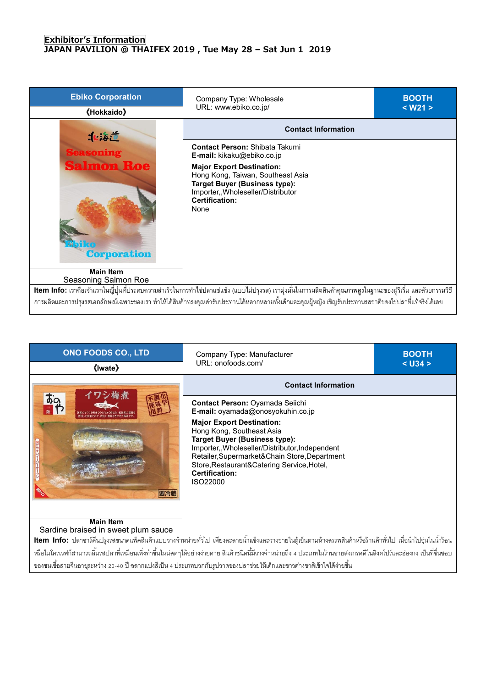## **Exhibitor's Information JAPAN PAVILION @ THAIFEX 2019 , Tue May 28 – Sat Jun 1 2019**

| <b>Ebiko Corporation</b><br><b>《Hokkaido》</b>                                                                                                                                                                                                                                                                                   | Company Type: Wholesale<br>URL: www.ebiko.co.jp/                                                                                                                                     | <b>BOOTH</b><br>$<$ W21 $>$ |
|---------------------------------------------------------------------------------------------------------------------------------------------------------------------------------------------------------------------------------------------------------------------------------------------------------------------------------|--------------------------------------------------------------------------------------------------------------------------------------------------------------------------------------|-----------------------------|
| :                                                                                                                                                                                                                                                                                                                               | <b>Contact Information</b>                                                                                                                                                           |                             |
| <b>Seasoning</b>                                                                                                                                                                                                                                                                                                                | <b>Contact Person: Shibata Takumi</b><br><b>E-mail:</b> kikaku@ebiko.co.jp                                                                                                           |                             |
| <b>Salmon Roe</b><br><b>Corporation</b>                                                                                                                                                                                                                                                                                         | <b>Major Export Destination:</b><br>Hong Kong, Taiwan, Southeast Asia<br><b>Target Buyer (Business type):</b><br>Importer,, Wholeseller/Distributor<br><b>Certification:</b><br>None |                             |
| <b>Main Item</b><br>Seasoning Salmon Roe                                                                                                                                                                                                                                                                                        |                                                                                                                                                                                      |                             |
| <b>Item Info:</b> เราคือเจ้าแรกในญี่ปุ่นที่ประสบความสำเร็จในการทำไข่ปลาแช่แข็ง (แบบไม่ปรุงรส) เรามุ่งมั่นในการผลิตสินค้าคุณภาพสูงในฐานะของผู้ริเริ่ม และด้วยกรรมวิธี<br>่ การผลิตและการปรุงรสเอกลักษณ์เฉพาะของเรา ทำให้ได้สินค้าทรงคุณค่ารับประทานได้หลากหลายทั้งเด็กและคุณผู้หญิง เชิญรับประทานรสชาติของไข่ปลาที่แท้จริงได้เลย |                                                                                                                                                                                      |                             |

| <b>ONO FOODS CO., LTD</b><br>《Iwate》                                                                                                                                   | Company Type: Manufacturer<br>URL: onofoods.com/                                                                                                                                                                                                                                              | <b>BOOTH</b><br>$<$ U34 $>$ |
|------------------------------------------------------------------------------------------------------------------------------------------------------------------------|-----------------------------------------------------------------------------------------------------------------------------------------------------------------------------------------------------------------------------------------------------------------------------------------------|-----------------------------|
| フシ梅煮<br>$\frac{1}{20}$<br>要冷蔵                                                                                                                                          | <b>Contact Information</b>                                                                                                                                                                                                                                                                    |                             |
|                                                                                                                                                                        | Contact Person: Oyamada Seiichi<br>E-mail: oyamada@onosyokuhin.co.jp                                                                                                                                                                                                                          |                             |
|                                                                                                                                                                        | <b>Major Export Destination:</b><br>Hong Kong, Southeast Asia<br><b>Target Buyer (Business type):</b><br>Importer,, Wholeseller/Distributor, Independent<br>Retailer, Supermarket&Chain Store, Department<br>Store, Restaurant& Catering Service, Hotel,<br><b>Certification:</b><br>ISO22000 |                             |
| <b>Main Item</b><br>Sardine braised in sweet plum sauce                                                                                                                |                                                                                                                                                                                                                                                                                               |                             |
| <mark>Item Info:</mark> ปลาซาร์ดีนปรุงรสขนาดแพ็คสินค้าแบบวางจำหน่ายทั่วไป เพียงละลายน้ำแข็งและวางขายในตู้เย็นตามห้างสรรพสินค้าหรือร้านค้าทั่วไป เมื่อนำไปอุ่นในน้ำร้อน |                                                                                                                                                                                                                                                                                               |                             |
|                                                                                                                                                                        | หรือไมโครเวฟก็สามารถลิ้มรสปลาที่เหมือนเพิ่งทำขึ้นใหม่สดๆได้อย่างง่ายดาย สินค้าชนิดนี้มีวางจำหน่ายถึง 4 ประเภทในร้านขายส่งเกรดดีในสิงคโปร์และฮ่องกง เป็นที่ขึ้นชอบ                                                                                                                             |                             |

ของชนเชื้อสายจีนอายุระหว่าง 20-40 ปี ฉลากแบ่งสีเป็น 4 ประเภทบวกกับรูปวาดของปลาช่วยให้เด็กและชาวต่างชาติเข้าใจได้ง่ายขึ้น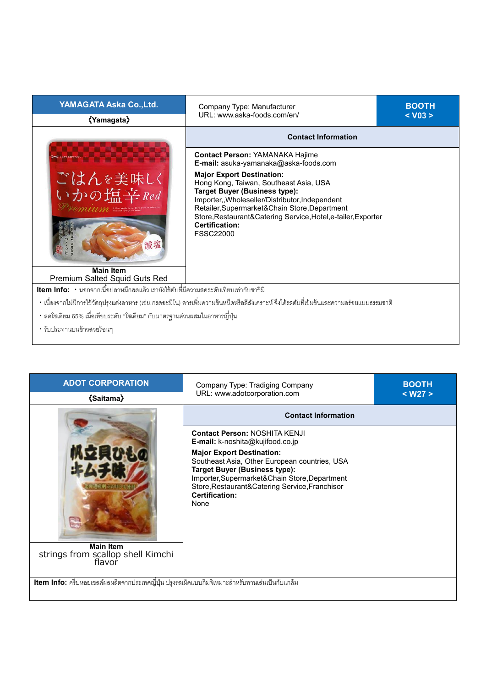| YAMAGATA Aska Co., Ltd.                                                                           | Company Type: Manufacturer<br>URL: www.aska-foods.com/en/                                                                                                                                                                                                                                                                                                                                                          | <b>BOOTH</b> |
|---------------------------------------------------------------------------------------------------|--------------------------------------------------------------------------------------------------------------------------------------------------------------------------------------------------------------------------------------------------------------------------------------------------------------------------------------------------------------------------------------------------------------------|--------------|
| 《Yamagata》                                                                                        |                                                                                                                                                                                                                                                                                                                                                                                                                    | $<$ V03 $>$  |
| ごはんを美味しく<br>いかの塩辛Red<br>减塩                                                                        | <b>Contact Information</b>                                                                                                                                                                                                                                                                                                                                                                                         |              |
|                                                                                                   | <b>Contact Person: YAMANAKA Hajime</b><br>E-mail: asuka-yamanaka@aska-foods.com<br><b>Major Export Destination:</b><br>Hong Kong, Taiwan, Southeast Asia, USA<br><b>Target Buyer (Business type):</b><br>Importer,, Wholeseller/Distributor, Independent<br>Retailer, Supermarket& Chain Store, Department<br>Store, Restaurant& Catering Service, Hotel, e-tailer, Exporter<br>Certification:<br><b>FSSC22000</b> |              |
| <b>Main Item</b><br>Premium Salted Squid Guts Red                                                 |                                                                                                                                                                                                                                                                                                                                                                                                                    |              |
| <mark>Item Info:</mark> • นอกจากเนื้อปลาหมึกสดแล้ว เรายังใช้ตับที่มีความสดระดับเทียบเท่ากับซาชิมิ |                                                                                                                                                                                                                                                                                                                                                                                                                    |              |
|                                                                                                   | • เนื่องจากไม่มีการใช้วัตถุปรุงแต่งอาหาร (เช่น กรดอะมิโน) สารเพิ่มความข้นหนืดหรือสีสังเคราะห์ จึงได้รสตับที่เข้มข้นและความอร่อยแบบธรรมชาติ                                                                                                                                                                                                                                                                         |              |
| • ลดโซเดียม 65% เมื่อเทียบระดับ "โซเดียม" กับมาตรฐานส่วนผสมในอาหารญี่ปุ่น                         |                                                                                                                                                                                                                                                                                                                                                                                                                    |              |
| • รับประทานบนข้าวสวยร้อนๆ                                                                         |                                                                                                                                                                                                                                                                                                                                                                                                                    |              |
|                                                                                                   |                                                                                                                                                                                                                                                                                                                                                                                                                    |              |

| <b>ADOT CORPORATION</b><br><b><i><u>《Saitama》</u></i></b>                                      | Company Type: Tradiging Company<br>URL: www.adotcorporation.com                                                                                                                                                                                                                                                                            | <b>BOOTH</b><br>$<$ W27 $>$ |
|------------------------------------------------------------------------------------------------|--------------------------------------------------------------------------------------------------------------------------------------------------------------------------------------------------------------------------------------------------------------------------------------------------------------------------------------------|-----------------------------|
|                                                                                                | <b>Contact Information</b>                                                                                                                                                                                                                                                                                                                 |                             |
| <b>Main Item</b><br>strings from scallop shell Kimchi<br>flavor                                | <b>Contact Person: NOSHITA KENJI</b><br><b>E-mail:</b> k-noshita@kujifood.co.jp<br><b>Major Export Destination:</b><br>Southeast Asia, Other European countries, USA<br>Target Buyer (Business type):<br>Importer, Supermarket&Chain Store, Department<br>Store, Restaurant& Catering Service, Franchisor<br><b>Certification:</b><br>None |                             |
| ltem Info: ครีบหอยเซลล์ผลผลิตจากประเทศญี่ปุ่น ปรุงรสเผ็ดแบบกิมจิเหมาะสำหรับทานเล่นเป็นกับแกล้ม |                                                                                                                                                                                                                                                                                                                                            |                             |